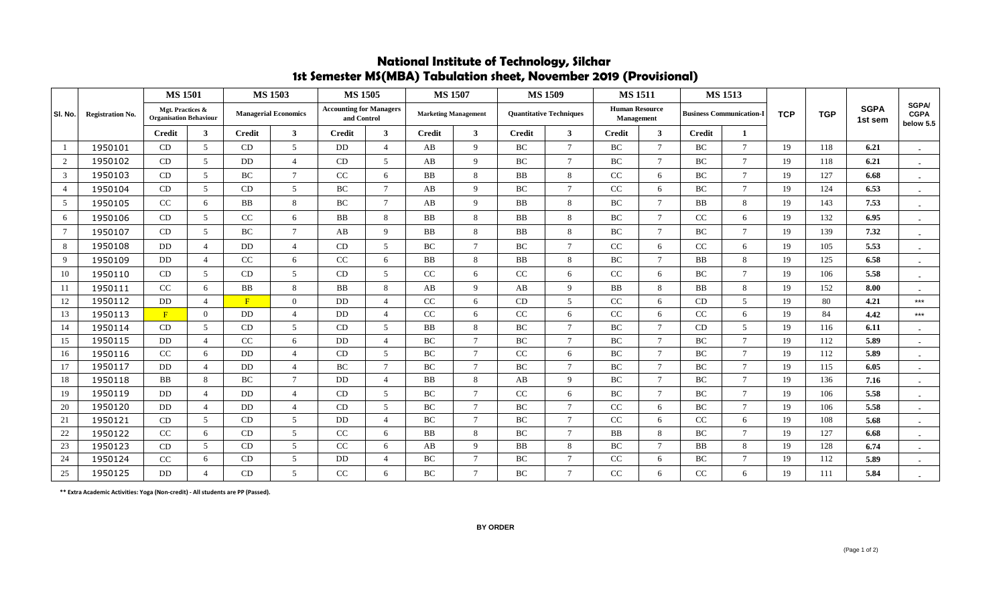|                 | <b>Registration No.</b> | <b>MS 1501</b>                                    |                          | <b>MS 1503</b>              |                | <b>MS 1505</b>                                |                | <b>MS 1507</b>              |                |                                | <b>MS 1509</b> | <b>MS1511</b>                       |                 | <b>MS 1513</b>                  |                |            |            |                        |                                          |
|-----------------|-------------------------|---------------------------------------------------|--------------------------|-----------------------------|----------------|-----------------------------------------------|----------------|-----------------------------|----------------|--------------------------------|----------------|-------------------------------------|-----------------|---------------------------------|----------------|------------|------------|------------------------|------------------------------------------|
| SI. No.         |                         | Mgt. Practices &<br><b>Organisation Behaviour</b> |                          | <b>Managerial Economics</b> |                | <b>Accounting for Managers</b><br>and Control |                | <b>Marketing Management</b> |                | <b>Ouantitative Techniques</b> |                | <b>Human Resource</b><br>Management |                 | <b>Business Communication-I</b> |                | <b>TCP</b> | <b>TGP</b> | <b>SGPA</b><br>1st sem | <b>SGPA/</b><br><b>CGPA</b><br>below 5.5 |
|                 |                         | <b>Credit</b>                                     | $\mathbf{3}$             | <b>Credit</b>               | 3 <sup>1</sup> | <b>Credit</b>                                 | 3 <sup>1</sup> | <b>Credit</b>               | $\mathbf{3}$   | <b>Credit</b>                  | $\mathbf{3}$   | <b>Credit</b>                       | $\mathbf{3}$    | <b>Credit</b>                   | $\mathbf{1}$   |            |            |                        |                                          |
| $\overline{1}$  | 1950101                 | CD                                                | 5 <sup>5</sup>           | CD                          | 5              | DD                                            | $\overline{4}$ | AB                          | 9              | BC                             | $\tau$         | BC                                  | $\overline{7}$  | BC                              | $\tau$         | 19         | 118        | 6.21                   |                                          |
| 2               | 1950102                 | <b>CD</b>                                         | 5 <sup>5</sup>           | DD                          | $\overline{4}$ | CD                                            | $5^{\circ}$    | AB                          | 9              | BC                             | $\tau$         | BC                                  | $\overline{7}$  | BC                              | $\tau$         | 19         | 118        | 6.21                   | $\sim$                                   |
| 3               | 1950103                 | CD                                                | 5 <sup>5</sup>           | BC                          | $\overline{7}$ | CC                                            | 6              | <b>BB</b>                   | 8              | <b>BB</b>                      | 8              | CC                                  | 6               | BC                              | $\overline{7}$ | 19         | 127        | 6.68                   |                                          |
| $\overline{4}$  | 1950104                 | <b>CD</b>                                         | 5 <sup>5</sup>           | CD                          | 5              | BC                                            | $7^{\circ}$    | AB                          | $\mathbf{Q}$   | BC                             | $\tau$         | CC                                  | 6               | BC                              | $\tau$         | 19         | 124        | 6.53                   |                                          |
| 5               | 1950105                 | CC                                                | 6                        | <b>BB</b>                   | 8              | BC                                            | $\tau$         | AB                          | $\mathbf{Q}$   | <b>BB</b>                      | 8              | <b>BC</b>                           | $7\phantom{.0}$ | <b>BB</b>                       | 8              | 19         | 143        | 7.53                   | $\sim$                                   |
| 6               | 1950106                 | CD                                                | 5 <sup>5</sup>           | CC                          | 6              | <b>BB</b>                                     | 8              | <b>BB</b>                   | 8              | <b>BB</b>                      | 8              | <b>BC</b>                           | $\overline{7}$  | CC                              | 6              | 19         | 132        | 6.95                   |                                          |
| $7\phantom{.0}$ | 1950107                 | CD                                                | 5 <sup>5</sup>           | $\rm BC$                    | $\overline{7}$ | AB                                            | 9              | BB                          | 8              | BB                             | 8              | BC                                  | $\overline{7}$  | BC                              | $\tau$         | 19         | 139        | 7.32                   |                                          |
| 8               | 1950108                 | DD                                                | $\overline{4}$           | DD                          | $\overline{4}$ | CD                                            | $5^{\circ}$    | <b>BC</b>                   | $\overline{7}$ | BC                             | $\tau$         | CC                                  | 6               | CC                              | 6              | 19         | 105        | 5.53                   | $\sim$                                   |
| 9               | 1950109                 | DD                                                | $\overline{4}$           | CC                          | 6              | CC                                            | 6              | BB                          | 8              | BB                             | 8              | BC                                  | $\overline{7}$  | <b>BB</b>                       | 8              | 19         | 125        | 6.58                   |                                          |
| 10              | 1950110                 | CD                                                | 5 <sup>5</sup>           | CD                          | 5              | CD                                            | $5^{\circ}$    | CC                          | 6              | CC                             | 6              | CC                                  | 6               | <b>BC</b>                       | $\tau$         | 19         | 106        | 5.58                   | $\overline{\phantom{a}}$                 |
| 11              | 1950111                 | CC                                                | 6                        | <b>BB</b>                   | 8              | <b>BB</b>                                     | 8              | AB                          | $\mathbf{Q}$   | AB                             | 9              | BB                                  | 8               | <b>BB</b>                       | 8              | 19         | 152        | 8.00                   | $\sim$                                   |
| 12              | 1950112                 | DD                                                | $\overline{4}$           | F                           | $\mathbf{0}$   | DD                                            | $\overline{4}$ | CC                          | 6              | CD                             | 5              | CC                                  | 6               | CD                              | 5              | 19         | 80         | 4.21                   | $***$                                    |
| 13              | 1950113                 | F                                                 | $\overline{0}$           | DD                          | $\overline{4}$ | DD                                            | $\overline{4}$ | CC                          | 6              | $\rm CC$                       | 6              | $\rm CC$                            | 6               | $\rm CC$                        | 6              | 19         | 84         | 4.42                   | $***$                                    |
| 14              | 1950114                 | CD                                                | 5 <sup>5</sup>           | CD                          | 5              | CD                                            | 5              | <b>BB</b>                   | $\mathbf{8}$   | BC                             | $\overline{7}$ | <b>BC</b>                           | $\overline{7}$  | CD                              | 5              | 19         | 116        | 6.11                   | $\overline{\phantom{a}}$                 |
| 15              | 1950115                 | DD                                                | $\overline{4}$           | CC                          | 6              | DD                                            | $\overline{4}$ | BC                          | $\mathcal{I}$  | <b>BC</b>                      | $\overline{7}$ | BC                                  | $7\phantom{.0}$ | BC                              | $\tau$         | 19         | 112        | 5.89                   | $\sim$                                   |
| 16              | 1950116                 | CC                                                | 6                        | DD                          | $\overline{4}$ | <b>CD</b>                                     | $5^{\circ}$    | BC                          | $\overline{7}$ | CC                             | 6              | BC                                  | $\overline{7}$  | BC                              | $\tau$         | 19         | 112        | 5.89                   | $\overline{\phantom{a}}$                 |
| 17              | 1950117                 | DD                                                | $\overline{4}$           | DD                          | $\overline{4}$ | $\operatorname{BC}$                           | $\tau$         | BC                          | $\overline{7}$ | $\operatorname{BC}$            | $\tau$         | BC                                  | $7\phantom{.0}$ | BC                              | $\tau$         | 19         | 115        | 6.05                   | $\sim$                                   |
| 18              | 1950118                 | <b>BB</b>                                         | 8                        | BC                          | $\overline{7}$ | <b>DD</b>                                     | $\overline{4}$ | BB                          | 8              | AB                             | 9              | BC                                  | $7\phantom{.0}$ | BC                              | $\overline{7}$ | 19         | 136        | 7.16                   | $\blacksquare$                           |
| 19              | 1950119                 | DD                                                | $\overline{4}$           | DD                          | $\overline{4}$ | CD                                            | 5              | BC                          | $\mathcal{I}$  | CC                             | 6              | BC                                  | $\overline{7}$  | BC                              | $\tau$         | 19         | 106        | 5.58                   |                                          |
| 20              | 1950120                 | D <sub>D</sub>                                    | $\overline{4}$           | <b>DD</b>                   | $\overline{4}$ | CD                                            | $\mathfrak{F}$ | <b>BC</b>                   | $\overline{7}$ | BC                             | $\tau$         | CC                                  | 6               | BC                              | $\tau$         | 19         | 106        | 5.58                   | $\blacksquare$                           |
| 21              | 1950121                 | CD                                                | 5 <sup>5</sup>           | CD                          | 5              | DD                                            | $\overline{4}$ | BC                          | $\overline{7}$ | <b>BC</b>                      | $\overline{7}$ | CC                                  | 6               | CC                              | 6              | 19         | 108        | 5.68                   |                                          |
| 22              | 1950122                 | CC                                                | 6                        | CD                          | 5              | CC                                            | 6              | BB                          | -8             | BC                             | $\tau$         | <b>BB</b>                           | 8               | BC                              | $\tau$         | 19         | 127        | 6.68                   | $\blacksquare$                           |
| 23              | 1950123                 | CD                                                | 5 <sup>5</sup>           | CD                          | 5              | CC                                            | 6              | AB                          | $\mathbf{Q}$   | <b>BB</b>                      | 8              | BC                                  | $\overline{7}$  | <b>BB</b>                       | 8              | 19         | 128        | 6.74                   | $\sim$                                   |
| 24              | 1950124                 | CC                                                | 6                        | CD                          | 5              | DD                                            | $\overline{4}$ | BC                          | $\overline{7}$ | BC                             | $\tau$         | CC                                  | 6               | BC                              | $\tau$         | 19         | 112        | 5.89                   | $\sim$                                   |
| 25              | 1950125                 | DD                                                | $\overline{\mathcal{L}}$ | CD                          | $\overline{5}$ | CC                                            | 6              | BC                          | $\overline{7}$ | BC                             | $\tau$         | CC                                  | 6               | CC                              | 6              | 19         | 111        | 5.84                   |                                          |

## **National Institute of Technology, Silchar 1st Semester MS(MBA) Tabulation sheet, November 2019 (Provisional)**

 **\*\* Extra Academic Activities: Yoga (Non-credit) - All students are PP (Passed).**